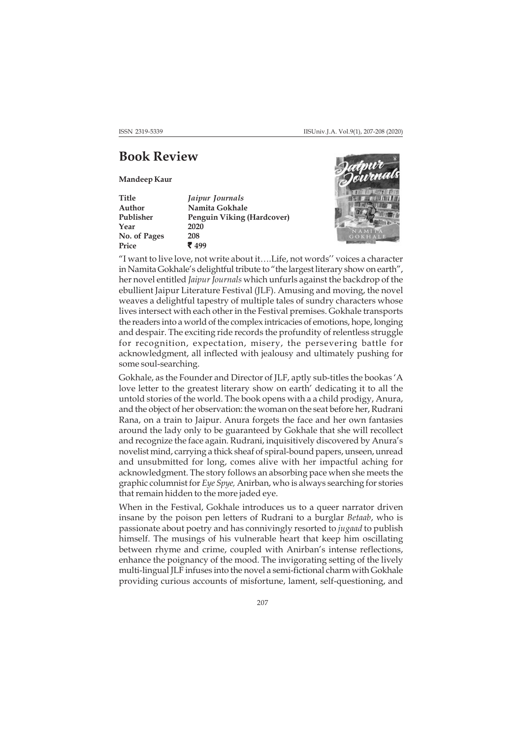## **Book Review**

**Mandeep Kaur**

**Title** *Jaipur Journals* Author **Namita Gokhale**<br>Publisher Penguin Viking **Penguin Viking (Hardcover) Year 2020 No. of Pages 208** Price  $\bar{\bar{\xi}}$  499



"I want to live love, not write about it….Life, not words'' voices a character in Namita Gokhale's delightful tribute to "the largest literary show on earth", her novel entitled *Jaipur Journals* which unfurls against the backdrop of the ebullient Jaipur Literature Festival (JLF). Amusing and moving, the novel weaves a delightful tapestry of multiple tales of sundry characters whose lives intersect with each other in the Festival premises. Gokhale transports the readers into a world of the complex intricacies of emotions, hope, longing and despair. The exciting ride records the profundity of relentless struggle for recognition, expectation, misery, the persevering battle for acknowledgment, all inflected with jealousy and ultimately pushing for some soul-searching.

Gokhale, as the Founder and Director of JLF, aptly sub-titles the bookas 'A love letter to the greatest literary show on earth' dedicating it to all the untold stories of the world. The book opens with a a child prodigy, Anura, and the object of her observation: the woman on the seat before her, Rudrani Rana, on a train to Jaipur. Anura forgets the face and her own fantasies around the lady only to be guaranteed by Gokhale that she will recollect and recognize the face again. Rudrani, inquisitively discovered by Anura's novelist mind, carrying a thick sheaf of spiral-bound papers, unseen, unread and unsubmitted for long, comes alive with her impactful aching for acknowledgment. The story follows an absorbing pace when she meets the graphic columnist for *Eye Spye,* Anirban, who is always searching for stories that remain hidden to the more jaded eye.

When in the Festival, Gokhale introduces us to a queer narrator driven insane by the poison pen letters of Rudrani to a burglar *Betaab*, who is passionate about poetry and has connivingly resorted to *jugaad* to publish himself. The musings of his vulnerable heart that keep him oscillating between rhyme and crime, coupled with Anirban's intense reflections, enhance the poignancy of the mood. The invigorating setting of the lively multi-lingual JLF infuses into the novel a semi-fictional charm with Gokhale providing curious accounts of misfortune, lament, self-questioning, and